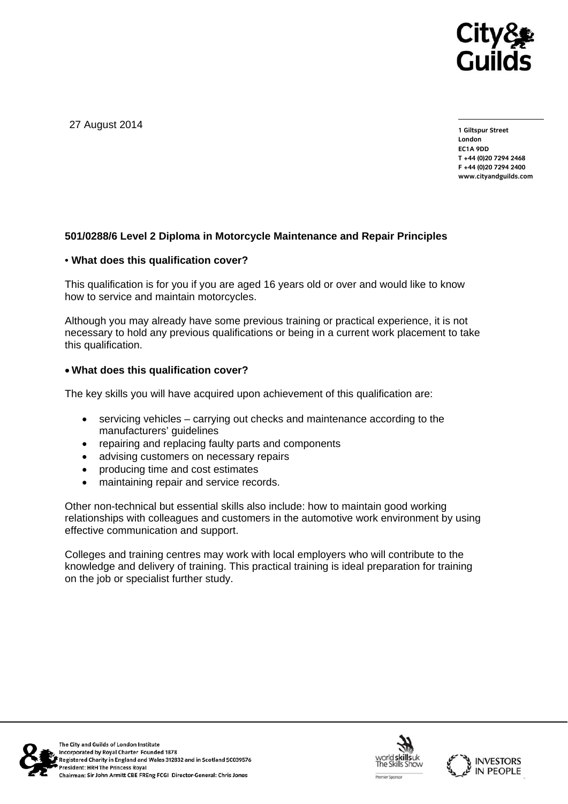

27 August 2014

**1 Giltspur Street London EC1A 9DD T +44 (0)20 7294 2468 F +44 (0)20 7294 2400 www.cityandguilds.com** 

### **501/0288/6 Level 2 Diploma in Motorcycle Maintenance and Repair Principles**

#### • **What does this qualification cover?**

This qualification is for you if you are aged 16 years old or over and would like to know how to service and maintain motorcycles.

Although you may already have some previous training or practical experience, it is not necessary to hold any previous qualifications or being in a current work placement to take this qualification.

### **What does this qualification cover?**

The key skills you will have acquired upon achievement of this qualification are:

- servicing vehicles carrying out checks and maintenance according to the manufacturers' guidelines
- repairing and replacing faulty parts and components
- advising customers on necessary repairs
- producing time and cost estimates
- maintaining repair and service records.

Other non-technical but essential skills also include: how to maintain good working relationships with colleagues and customers in the automotive work environment by using effective communication and support.

Colleges and training centres may work with local employers who will contribute to the knowledge and delivery of training. This practical training is ideal preparation for training on the job or specialist further study.